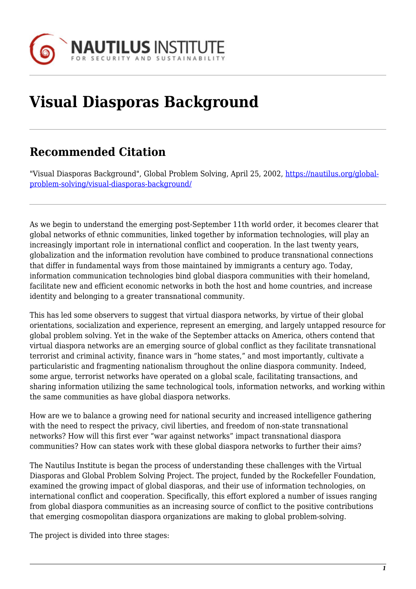

# **Visual Diasporas Background**

## **Recommended Citation**

"Visual Diasporas Background", Global Problem Solving, April 25, 2002, [https://nautilus.org/global](https://nautilus.org/global-problem-solving/visual-diasporas-background/)[problem-solving/visual-diasporas-background/](https://nautilus.org/global-problem-solving/visual-diasporas-background/)

As we begin to understand the emerging post-September 11th world order, it becomes clearer that global networks of ethnic communities, linked together by information technologies, will play an increasingly important role in international conflict and cooperation. In the last twenty years, globalization and the information revolution have combined to produce transnational connections that differ in fundamental ways from those maintained by immigrants a century ago. Today, information communication technologies bind global diaspora communities with their homeland, facilitate new and efficient economic networks in both the host and home countries, and increase identity and belonging to a greater transnational community.

This has led some observers to suggest that virtual diaspora networks, by virtue of their global orientations, socialization and experience, represent an emerging, and largely untapped resource for global problem solving. Yet in the wake of the September attacks on America, others contend that virtual diaspora networks are an emerging source of global conflict as they facilitate transnational terrorist and criminal activity, finance wars in "home states," and most importantly, cultivate a particularistic and fragmenting nationalism throughout the online diaspora community. Indeed, some argue, terrorist networks have operated on a global scale, facilitating transactions, and sharing information utilizing the same technological tools, information networks, and working within the same communities as have global diaspora networks.

How are we to balance a growing need for national security and increased intelligence gathering with the need to respect the privacy, civil liberties, and freedom of non-state transnational networks? How will this first ever "war against networks" impact transnational diaspora communities? How can states work with these global diaspora networks to further their aims?

The Nautilus Institute is began the process of understanding these challenges with the Virtual Diasporas and Global Problem Solving Project. The project, funded by the Rockefeller Foundation, examined the growing impact of global diasporas, and their use of information technologies, on international conflict and cooperation. Specifically, this effort explored a number of issues ranging from global diaspora communities as an increasing source of conflict to the positive contributions that emerging cosmopolitan diaspora organizations are making to global problem-solving.

The project is divided into three stages: